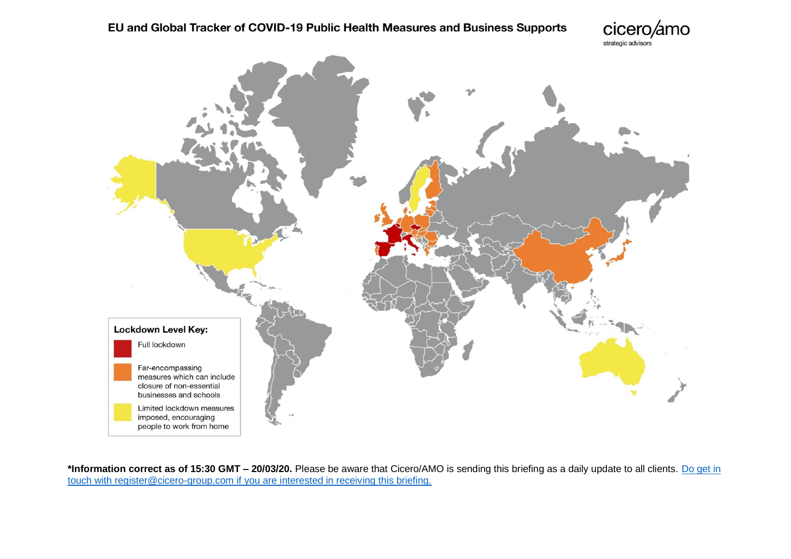cicero/amo strategic advisors



**\*Information correct as of 15:30 GMT – 20/03/20.** Please be aware that Cicero/AMO is sending this briefing as a daily update to all clients. [Do get in](mailto:register@cicero-group.com?subject=COVID-19%20-%20comparative%20tracker)  [touch with register@cicero-group.com if you are interested in receiving this briefing.](mailto:register@cicero-group.com?subject=COVID-19%20-%20comparative%20tracker)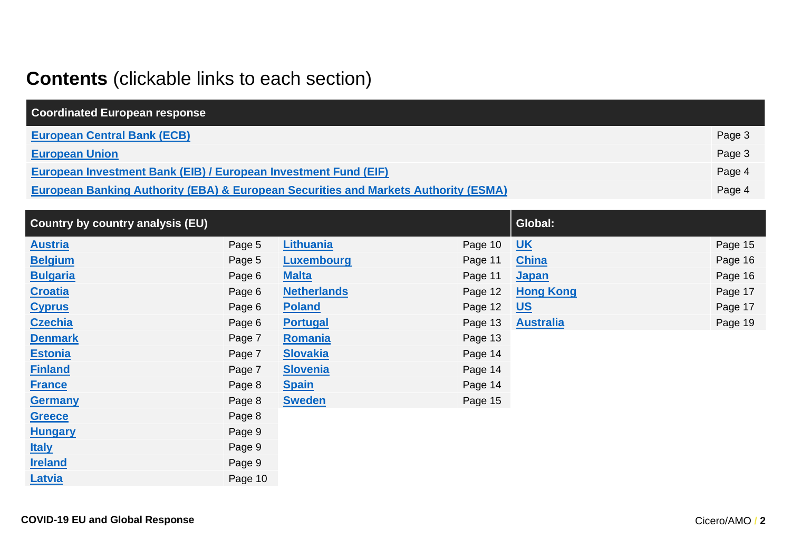## **Contents** (clickable links to each section)

| <b>Coordinated European response</b>                                                           |        |
|------------------------------------------------------------------------------------------------|--------|
| <b>European Central Bank (ECB)</b>                                                             | Page 3 |
| <b>European Union</b>                                                                          | Page 3 |
| European Investment Bank (EIB) / European Investment Fund (EIF)                                | Page 4 |
| <b>European Banking Authority (EBA) &amp; European Securities and Markets Authority (ESMA)</b> | Page 4 |

| <b>Country by country analysis (EU)</b> |         |                    |         | Global:          |         |
|-----------------------------------------|---------|--------------------|---------|------------------|---------|
| <b>Austria</b>                          | Page 5  | <b>Lithuania</b>   | Page 10 | $UK$             | Page 15 |
| <b>Belgium</b>                          | Page 5  | Luxembourg         | Page 11 | <b>China</b>     | Page 16 |
| <b>Bulgaria</b>                         | Page 6  | <b>Malta</b>       | Page 11 | <b>Japan</b>     | Page 16 |
| <b>Croatia</b>                          | Page 6  | <b>Netherlands</b> | Page 12 | <b>Hong Kong</b> | Page 17 |
| <b>Cyprus</b>                           | Page 6  | <b>Poland</b>      | Page 12 | <u>US</u>        | Page 17 |
| <b>Czechia</b>                          | Page 6  | <b>Portugal</b>    | Page 13 | <b>Australia</b> | Page 19 |
| <b>Denmark</b>                          | Page 7  | Romania            | Page 13 |                  |         |
| <b>Estonia</b>                          | Page 7  | <b>Slovakia</b>    | Page 14 |                  |         |
| <b>Finland</b>                          | Page 7  | <b>Slovenia</b>    | Page 14 |                  |         |
| <b>France</b>                           | Page 8  | <b>Spain</b>       | Page 14 |                  |         |
| <b>Germany</b>                          | Page 8  | <b>Sweden</b>      | Page 15 |                  |         |
| <b>Greece</b>                           | Page 8  |                    |         |                  |         |
| <b>Hungary</b>                          | Page 9  |                    |         |                  |         |
| <b>Italy</b>                            | Page 9  |                    |         |                  |         |
| <b>Ireland</b>                          | Page 9  |                    |         |                  |         |
| Latvia                                  | Page 10 |                    |         |                  |         |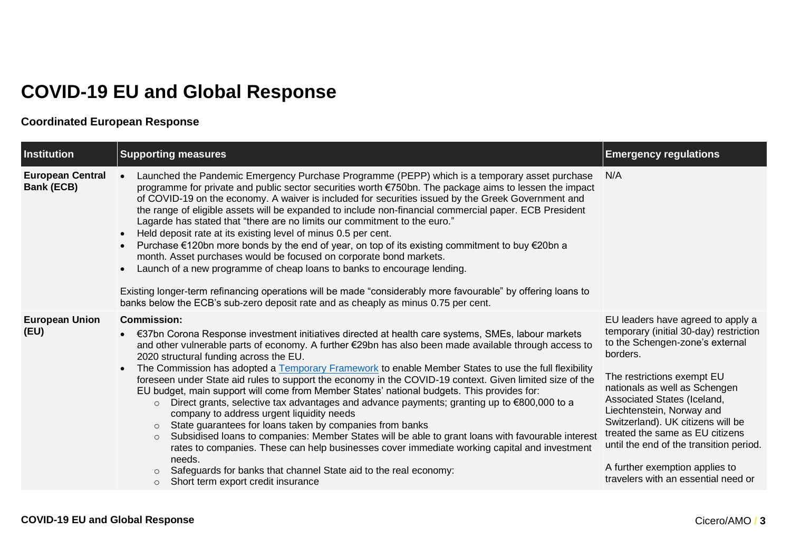# **COVID-19 EU and Global Response**

### **Coordinated European Response**

<span id="page-2-0"></span>

| Institution                           | <b>Supporting measures</b>                                                                                                                                                                                                                                                                                                                                                                                                                                                                                                                                                                                                                                                                                                                                                                                                                                                                                                                                                                                                                                                                                                                                                | <b>Emergency regulations</b>                                                                                                                                                                                                                                                                                                                                                                                                                      |
|---------------------------------------|---------------------------------------------------------------------------------------------------------------------------------------------------------------------------------------------------------------------------------------------------------------------------------------------------------------------------------------------------------------------------------------------------------------------------------------------------------------------------------------------------------------------------------------------------------------------------------------------------------------------------------------------------------------------------------------------------------------------------------------------------------------------------------------------------------------------------------------------------------------------------------------------------------------------------------------------------------------------------------------------------------------------------------------------------------------------------------------------------------------------------------------------------------------------------|---------------------------------------------------------------------------------------------------------------------------------------------------------------------------------------------------------------------------------------------------------------------------------------------------------------------------------------------------------------------------------------------------------------------------------------------------|
| <b>European Central</b><br>Bank (ECB) | Launched the Pandemic Emergency Purchase Programme (PEPP) which is a temporary asset purchase<br>programme for private and public sector securities worth €750bn. The package aims to lessen the impact<br>of COVID-19 on the economy. A waiver is included for securities issued by the Greek Government and<br>the range of eligible assets will be expanded to include non-financial commercial paper. ECB President<br>Lagarde has stated that "there are no limits our commitment to the euro."<br>Held deposit rate at its existing level of minus 0.5 per cent.<br>Purchase €120bn more bonds by the end of year, on top of its existing commitment to buy €20bn a<br>month. Asset purchases would be focused on corporate bond markets.<br>Launch of a new programme of cheap loans to banks to encourage lending.<br>Existing longer-term refinancing operations will be made "considerably more favourable" by offering loans to<br>banks below the ECB's sub-zero deposit rate and as cheaply as minus 0.75 per cent.                                                                                                                                          | N/A                                                                                                                                                                                                                                                                                                                                                                                                                                               |
| <b>European Union</b><br>(EU)         | <b>Commission:</b><br>€37bn Corona Response investment initiatives directed at health care systems, SMEs, labour markets<br>and other vulnerable parts of economy. A further €29bn has also been made available through access to<br>2020 structural funding across the EU.<br>The Commission has adopted a Temporary Framework to enable Member States to use the full flexibility<br>foreseen under State aid rules to support the economy in the COVID-19 context. Given limited size of the<br>EU budget, main support will come from Member States' national budgets. This provides for:<br>Direct grants, selective tax advantages and advance payments; granting up to €800,000 to a<br>$\circ$<br>company to address urgent liquidity needs<br>State guarantees for loans taken by companies from banks<br>$\circ$<br>Subsidised Ioans to companies: Member States will be able to grant loans with favourable interest<br>$\circ$<br>rates to companies. These can help businesses cover immediate working capital and investment<br>needs.<br>Safeguards for banks that channel State aid to the real economy:<br>Short term export credit insurance<br>$\circ$ | EU leaders have agreed to apply a<br>temporary (initial 30-day) restriction<br>to the Schengen-zone's external<br>borders.<br>The restrictions exempt EU<br>nationals as well as Schengen<br>Associated States (Iceland,<br>Liechtenstein, Norway and<br>Switzerland). UK citizens will be<br>treated the same as EU citizens<br>until the end of the transition period.<br>A further exemption applies to<br>travelers with an essential need or |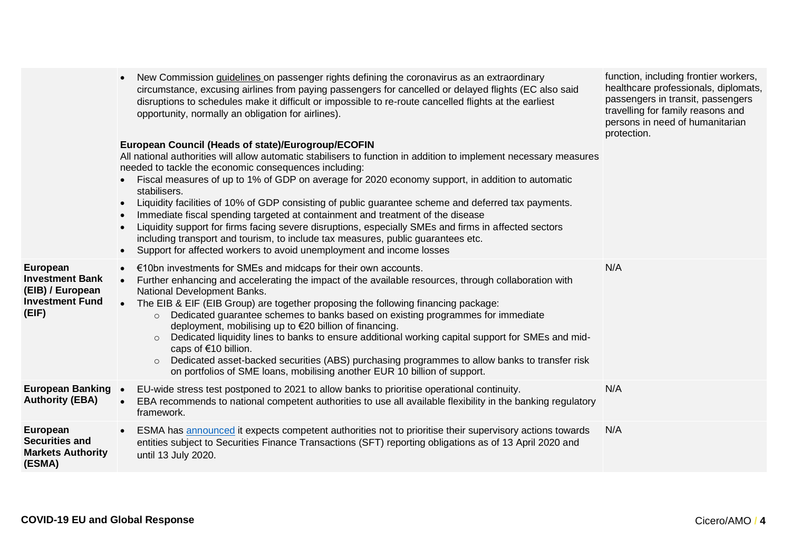<span id="page-3-1"></span><span id="page-3-0"></span>

|                                                                                           | circumstance, excusing airlines from paying passengers for cancelled or delayed flights (EC also said<br>disruptions to schedules make it difficult or impossible to re-route cancelled flights at the earliest<br>opportunity, normally an obligation for airlines).<br>European Council (Heads of state)/Eurogroup/ECOFIN<br>All national authorities will allow automatic stabilisers to function in addition to implement necessary measures<br>needed to tackle the economic consequences including:<br>Fiscal measures of up to 1% of GDP on average for 2020 economy support, in addition to automatic<br>stabilisers.<br>Liquidity facilities of 10% of GDP consisting of public guarantee scheme and deferred tax payments.<br>$\bullet$<br>Immediate fiscal spending targeted at containment and treatment of the disease<br>$\bullet$<br>Liquidity support for firms facing severe disruptions, especially SMEs and firms in affected sectors<br>$\bullet$<br>including transport and tourism, to include tax measures, public guarantees etc.<br>Support for affected workers to avoid unemployment and income losses<br>$\bullet$ | healthcare professionals, diplomats,<br>passengers in transit, passengers<br>travelling for family reasons and<br>persons in need of humanitarian<br>protection. |
|-------------------------------------------------------------------------------------------|------------------------------------------------------------------------------------------------------------------------------------------------------------------------------------------------------------------------------------------------------------------------------------------------------------------------------------------------------------------------------------------------------------------------------------------------------------------------------------------------------------------------------------------------------------------------------------------------------------------------------------------------------------------------------------------------------------------------------------------------------------------------------------------------------------------------------------------------------------------------------------------------------------------------------------------------------------------------------------------------------------------------------------------------------------------------------------------------------------------------------------------------|------------------------------------------------------------------------------------------------------------------------------------------------------------------|
| European<br><b>Investment Bank</b><br>(EIB) / European<br><b>Investment Fund</b><br>(EIF) | €10bn investments for SMEs and midcaps for their own accounts.<br>$\bullet$<br>Further enhancing and accelerating the impact of the available resources, through collaboration with<br>$\bullet$<br>National Development Banks.<br>The EIB & EIF (EIB Group) are together proposing the following financing package:<br>Dedicated guarantee schemes to banks based on existing programmes for immediate<br>$\circ$<br>deployment, mobilising up to €20 billion of financing.<br>Dedicated liquidity lines to banks to ensure additional working capital support for SMEs and mid-<br>$\circ$<br>caps of €10 billion.<br>Dedicated asset-backed securities (ABS) purchasing programmes to allow banks to transfer risk<br>$\circ$<br>on portfolios of SME loans, mobilising another EUR 10 billion of support.                                                                                                                                                                                                                                                                                                                                  | N/A                                                                                                                                                              |
| <b>European Banking •</b><br><b>Authority (EBA)</b>                                       | EU-wide stress test postponed to 2021 to allow banks to prioritise operational continuity.<br>EBA recommends to national competent authorities to use all available flexibility in the banking regulatory<br>$\bullet$<br>framework.                                                                                                                                                                                                                                                                                                                                                                                                                                                                                                                                                                                                                                                                                                                                                                                                                                                                                                           | N/A                                                                                                                                                              |
| European<br><b>Securities and</b><br><b>Markets Authority</b><br>(ESMA)                   | ESMA has announced it expects competent authorities not to prioritise their supervisory actions towards<br>$\bullet$<br>entities subject to Securities Finance Transactions (SFT) reporting obligations as of 13 April 2020 and<br>until 13 July 2020.                                                                                                                                                                                                                                                                                                                                                                                                                                                                                                                                                                                                                                                                                                                                                                                                                                                                                         | N/A                                                                                                                                                              |

• New Commission *guidelines* on passenger rights defining the coronavirus as an extraordinary

function, including frontier workers,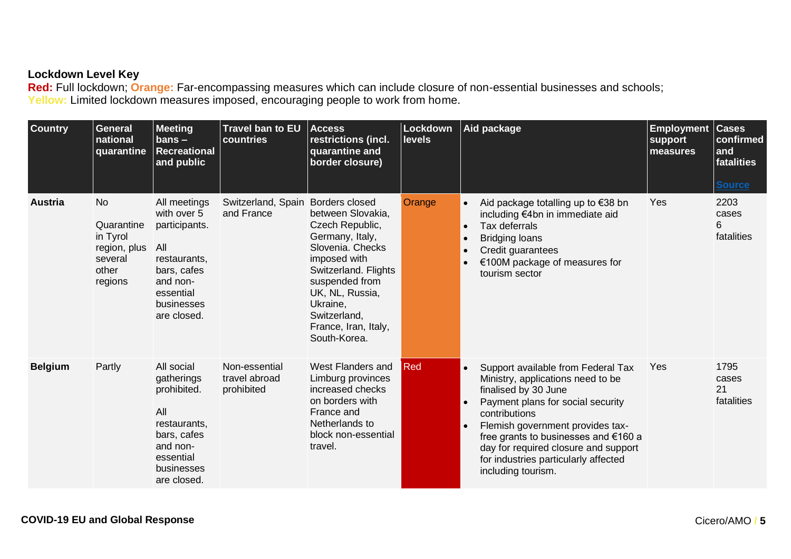#### **Lockdown Level Key**

**Red:** Full lockdown; **Orange:** Far-encompassing measures which can include closure of non-essential businesses and schools; **Yellow:** Limited lockdown measures imposed, encouraging people to work from home.

<span id="page-4-1"></span><span id="page-4-0"></span>

| <b>Country</b> | <b>General</b><br>national<br>quarantine                                           | <b>Meeting</b><br>$bans -$<br>Recreational<br>and public                                                                                 | <b>Travel ban to EU</b><br>countries         | <b>Access</b><br>restrictions (incl.<br>quarantine and<br>border closure)                                                                                                                                                                      | Lockdown<br><b>levels</b> | Aid package                                                                                                                                                                                                                                                                                                                                                       | <b>Employment</b><br>support<br>measures | <b>Cases</b><br>confirmed<br>and<br>fatalities<br><b>Source</b> |
|----------------|------------------------------------------------------------------------------------|------------------------------------------------------------------------------------------------------------------------------------------|----------------------------------------------|------------------------------------------------------------------------------------------------------------------------------------------------------------------------------------------------------------------------------------------------|---------------------------|-------------------------------------------------------------------------------------------------------------------------------------------------------------------------------------------------------------------------------------------------------------------------------------------------------------------------------------------------------------------|------------------------------------------|-----------------------------------------------------------------|
| <b>Austria</b> | <b>No</b><br>Quarantine<br>in Tyrol<br>region, plus<br>several<br>other<br>regions | All meetings<br>with over 5<br>participants.<br>All<br>restaurants,<br>bars, cafes<br>and non-<br>essential<br>businesses<br>are closed. | Switzerland, Spain<br>and France             | Borders closed<br>between Slovakia,<br>Czech Republic,<br>Germany, Italy,<br>Slovenia, Checks<br>imposed with<br>Switzerland. Flights<br>suspended from<br>UK, NL, Russia,<br>Ukraine,<br>Switzerland,<br>France, Iran, Italy,<br>South-Korea. | Orange                    | Aid package totalling up to €38 bn<br>$\bullet$<br>including €4bn in immediate aid<br>Tax deferrals<br>$\bullet$<br><b>Bridging loans</b><br>$\bullet$<br>Credit guarantees<br>$\bullet$<br>€100M package of measures for<br>tourism sector                                                                                                                       | Yes                                      | 2203<br>cases<br>6<br>fatalities                                |
| <b>Belgium</b> | Partly                                                                             | All social<br>gatherings<br>prohibited.<br>All<br>restaurants,<br>bars, cafes<br>and non-<br>essential<br>businesses<br>are closed.      | Non-essential<br>travel abroad<br>prohibited | West Flanders and<br>Limburg provinces<br>increased checks<br>on borders with<br>France and<br>Netherlands to<br>block non-essential<br>travel.                                                                                                | Red                       | Support available from Federal Tax<br>$\bullet$<br>Ministry, applications need to be<br>finalised by 30 June<br>Payment plans for social security<br>contributions<br>Flemish government provides tax-<br>$\bullet$<br>free grants to businesses and €160 a<br>day for required closure and support<br>for industries particularly affected<br>including tourism. | Yes                                      | 1795<br>cases<br>21<br>fatalities                               |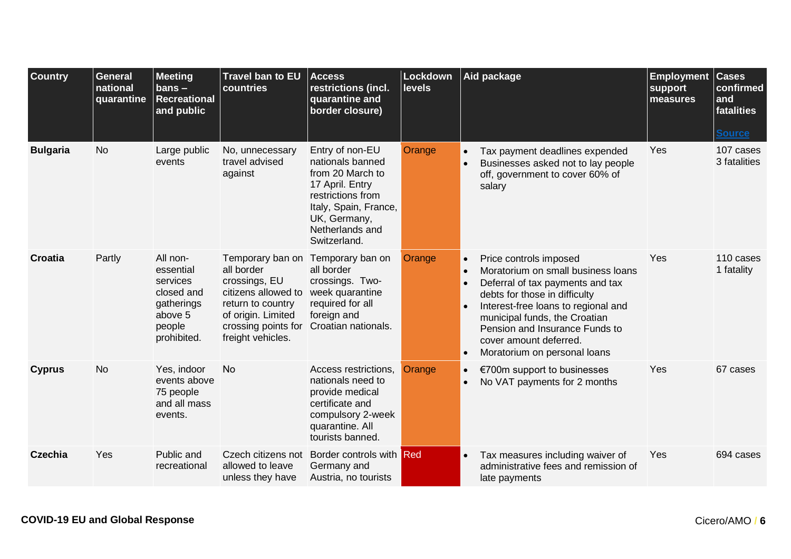<span id="page-5-3"></span><span id="page-5-2"></span><span id="page-5-1"></span><span id="page-5-0"></span>

| <b>Country</b>  | <b>General</b><br>national<br>quarantine | <b>Meeting</b><br>$bans -$<br><b>Recreational</b><br>and public                                   | Travel ban to EU<br>countries                                                                                                                                 | <b>Access</b><br>restrictions (incl.<br>quarantine and<br>border closure)                                                                                                   | Lockdown<br><b>levels</b> | Aid package                                                                                                                                                                                                                                                                                                                                                            | <b>Employment</b><br>support<br>measures | <b>Cases</b><br>confirmed<br>and<br>fatalities<br><b>Source</b> |
|-----------------|------------------------------------------|---------------------------------------------------------------------------------------------------|---------------------------------------------------------------------------------------------------------------------------------------------------------------|-----------------------------------------------------------------------------------------------------------------------------------------------------------------------------|---------------------------|------------------------------------------------------------------------------------------------------------------------------------------------------------------------------------------------------------------------------------------------------------------------------------------------------------------------------------------------------------------------|------------------------------------------|-----------------------------------------------------------------|
| <b>Bulgaria</b> | <b>No</b>                                | Large public<br>events                                                                            | No, unnecessary<br>travel advised<br>against                                                                                                                  | Entry of non-EU<br>nationals banned<br>from 20 March to<br>17 April. Entry<br>restrictions from<br>Italy, Spain, France,<br>UK, Germany,<br>Netherlands and<br>Switzerland. | Orange                    | Tax payment deadlines expended<br>$\bullet$<br>Businesses asked not to lay people<br>$\bullet$<br>off, government to cover 60% of<br>salary                                                                                                                                                                                                                            | Yes                                      | 107 cases<br>3 fatalities                                       |
| <b>Croatia</b>  | Partly                                   | All non-<br>essential<br>services<br>closed and<br>gatherings<br>above 5<br>people<br>prohibited. | Temporary ban on<br>all border<br>crossings, EU<br>citizens allowed to<br>return to country<br>of origin. Limited<br>crossing points for<br>freight vehicles. | Temporary ban on<br>all border<br>crossings. Two-<br>week quarantine<br>required for all<br>foreign and<br>Croatian nationals.                                              | Orange                    | Price controls imposed<br>$\bullet$<br>Moratorium on small business loans<br>$\bullet$<br>Deferral of tax payments and tax<br>$\bullet$<br>debts for those in difficulty<br>Interest-free loans to regional and<br>$\bullet$<br>municipal funds, the Croatian<br>Pension and Insurance Funds to<br>cover amount deferred.<br>Moratorium on personal loans<br>$\bullet$ | Yes                                      | 110 cases<br>1 fatality                                         |
| <b>Cyprus</b>   | <b>No</b>                                | Yes, indoor<br>events above<br>75 people<br>and all mass<br>events.                               | <b>No</b>                                                                                                                                                     | Access restrictions,<br>nationals need to<br>provide medical<br>certificate and<br>compulsory 2-week<br>quarantine. All<br>tourists banned.                                 | Orange                    | €700m support to businesses<br>$\bullet$<br>No VAT payments for 2 months<br>$\bullet$                                                                                                                                                                                                                                                                                  | Yes                                      | 67 cases                                                        |
| Czechia         | Yes                                      | Public and<br>recreational                                                                        | Czech citizens not<br>allowed to leave<br>unless they have                                                                                                    | Border controls with Red<br>Germany and<br>Austria, no tourists                                                                                                             |                           | Tax measures including waiver of<br>$\bullet$<br>administrative fees and remission of<br>late payments                                                                                                                                                                                                                                                                 | Yes                                      | 694 cases                                                       |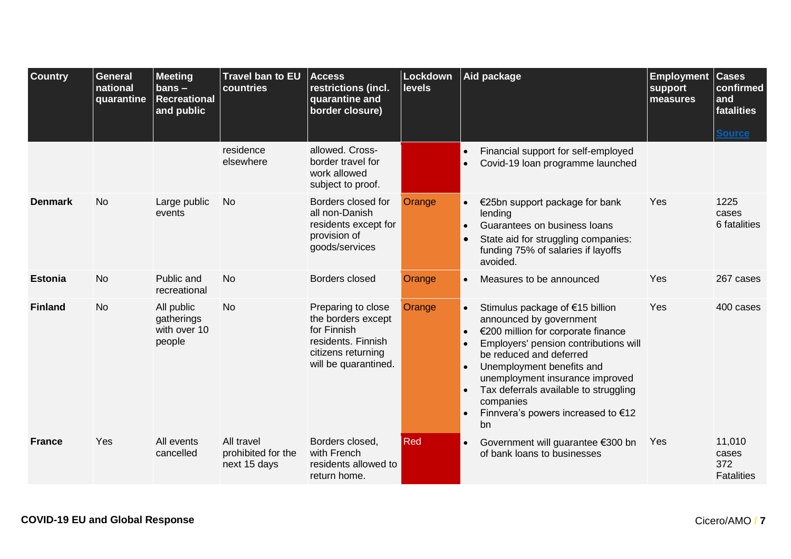<span id="page-6-3"></span><span id="page-6-2"></span><span id="page-6-1"></span><span id="page-6-0"></span>

| <b>Country</b> | General<br>national<br>quarantine | <b>Meeting</b><br>$bans -$<br><b>Recreational</b><br>and public | <b>Travel ban to EU</b><br>countries             | <b>Access</b><br>restrictions (incl.<br>quarantine and<br>border closure)                                                   | Lockdown<br><b>levels</b> |                                                               | Aid package                                                                                                                                                                                                                                                                                                                            | <b>Employment Cases</b><br>support<br>measures | confirmed<br>and<br>fatalities<br><b>Source</b> |
|----------------|-----------------------------------|-----------------------------------------------------------------|--------------------------------------------------|-----------------------------------------------------------------------------------------------------------------------------|---------------------------|---------------------------------------------------------------|----------------------------------------------------------------------------------------------------------------------------------------------------------------------------------------------------------------------------------------------------------------------------------------------------------------------------------------|------------------------------------------------|-------------------------------------------------|
|                |                                   |                                                                 | residence<br>elsewhere                           | allowed. Cross-<br>border travel for<br>work allowed<br>subject to proof.                                                   |                           | $\bullet$                                                     | Financial support for self-employed<br>Covid-19 Ioan programme launched                                                                                                                                                                                                                                                                |                                                |                                                 |
| <b>Denmark</b> | <b>No</b>                         | Large public<br>events                                          | <b>No</b>                                        | Borders closed for<br>all non-Danish<br>residents except for<br>provision of<br>goods/services                              | Orange                    | $\bullet$<br>$\bullet$                                        | €25bn support package for bank<br>lending<br>Guarantees on business loans<br>State aid for struggling companies:<br>funding 75% of salaries if layoffs<br>avoided.                                                                                                                                                                     | Yes                                            | 1225<br>cases<br>6 fatalities                   |
| <b>Estonia</b> | <b>No</b>                         | Public and<br>recreational                                      | <b>No</b>                                        | Borders closed                                                                                                              | Orange                    | $\bullet$                                                     | Measures to be announced                                                                                                                                                                                                                                                                                                               | Yes                                            | 267 cases                                       |
| <b>Finland</b> | <b>No</b>                         | All public<br>gatherings<br>with over 10<br>people              | <b>No</b>                                        | Preparing to close<br>the borders except<br>for Finnish<br>residents. Finnish<br>citizens returning<br>will be quarantined. | Orange                    | $\bullet$<br>$\bullet$<br>$\bullet$<br>$\bullet$<br>$\bullet$ | Stimulus package of €15 billion<br>announced by government<br>€200 million for corporate finance<br>Employers' pension contributions will<br>be reduced and deferred<br>Unemployment benefits and<br>unemployment insurance improved<br>Tax deferrals available to struggling<br>companies<br>Finnvera's powers increased to €12<br>bn | Yes                                            | 400 cases                                       |
| <b>France</b>  | Yes                               | All events<br>cancelled                                         | All travel<br>prohibited for the<br>next 15 days | Borders closed,<br>with French<br>residents allowed to<br>return home.                                                      | Red                       | $\bullet$                                                     | Government will guarantee €300 bn<br>of bank loans to businesses                                                                                                                                                                                                                                                                       | Yes                                            | 11,010<br>cases<br>372<br><b>Fatalities</b>     |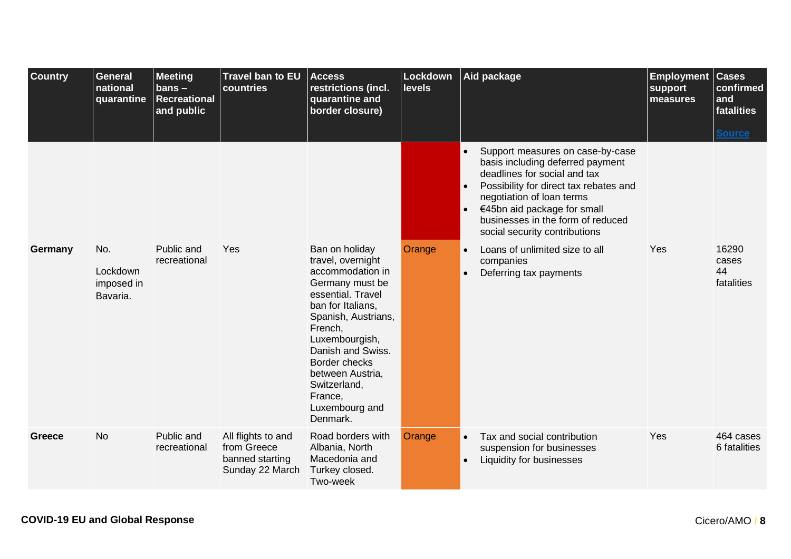<span id="page-7-1"></span><span id="page-7-0"></span>

| <b>Country</b> | <b>General</b><br>national<br>quarantine  | <b>Meeting</b><br>bans $-$<br><b>Recreational</b><br>and public | Travel ban to EU<br>countries                                           | <b>Access</b><br>restrictions (incl.<br>quarantine and<br>border closure)                                                                                                                                                                                                                          | Lockdown<br>levels | Aid package                                                                                                                                                                                                                                                                                                | <b>Employment</b><br>support<br>measures | <b>Cases</b><br>confirmed<br>and<br>fatalities<br><b>Source</b> |
|----------------|-------------------------------------------|-----------------------------------------------------------------|-------------------------------------------------------------------------|----------------------------------------------------------------------------------------------------------------------------------------------------------------------------------------------------------------------------------------------------------------------------------------------------|--------------------|------------------------------------------------------------------------------------------------------------------------------------------------------------------------------------------------------------------------------------------------------------------------------------------------------------|------------------------------------------|-----------------------------------------------------------------|
|                |                                           |                                                                 |                                                                         |                                                                                                                                                                                                                                                                                                    |                    | Support measures on case-by-case<br>basis including deferred payment<br>deadlines for social and tax<br>Possibility for direct tax rebates and<br>$\bullet$<br>negotiation of loan terms<br>€45bn aid package for small<br>$\bullet$<br>businesses in the form of reduced<br>social security contributions |                                          |                                                                 |
| Germany        | No.<br>Lockdown<br>imposed in<br>Bavaria. | Public and<br>recreational                                      | Yes                                                                     | Ban on holiday<br>travel, overnight<br>accommodation in<br>Germany must be<br>essential. Travel<br>ban for Italians,<br>Spanish, Austrians,<br>French,<br>Luxembourgish,<br>Danish and Swiss.<br><b>Border checks</b><br>between Austria,<br>Switzerland,<br>France,<br>Luxembourg and<br>Denmark. | Orange             | Loans of unlimited size to all<br>$\bullet$<br>companies<br>Deferring tax payments<br>$\bullet$                                                                                                                                                                                                            | Yes                                      | 16290<br>cases<br>44<br>fatalities                              |
| Greece         | <b>No</b>                                 | Public and<br>recreational                                      | All flights to and<br>from Greece<br>banned starting<br>Sunday 22 March | Road borders with<br>Albania, North<br>Macedonia and<br>Turkey closed.<br>Two-week                                                                                                                                                                                                                 | Orange             | Tax and social contribution<br>$\bullet$<br>suspension for businesses<br>Liquidity for businesses<br>$\bullet$                                                                                                                                                                                             | Yes                                      | 464 cases<br>6 fatalities                                       |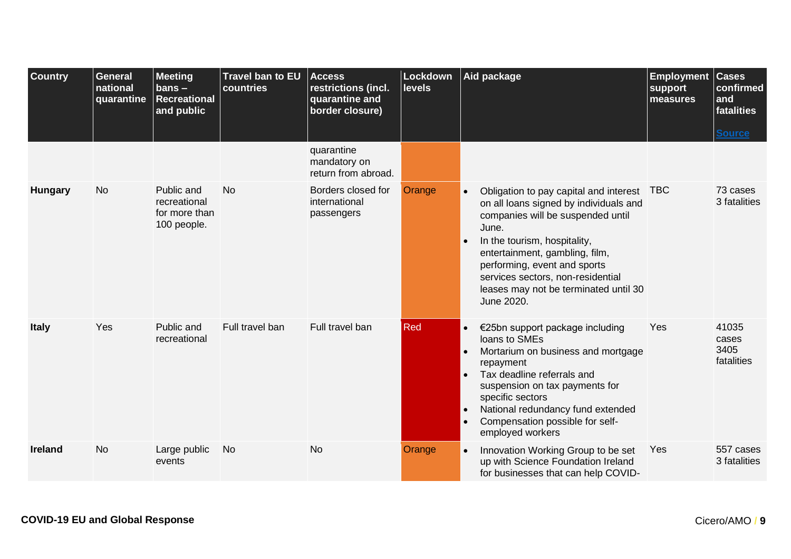<span id="page-8-2"></span><span id="page-8-1"></span><span id="page-8-0"></span>

| <b>Country</b> | <b>General</b><br>national<br>quarantine | <b>Meeting</b><br>$bans -$<br><b>Recreational</b><br>and public | <b>Travel ban to EU</b><br>countries | <b>Access</b><br>restrictions (incl.<br>quarantine and<br>border closure) | Lockdown<br><b>levels</b> |                                                               | Aid package                                                                                                                                                                                                                                                                                                                      | <b>Employment</b><br>support<br>measures | <b>Cases</b><br>confirmed<br>and<br>fatalities |
|----------------|------------------------------------------|-----------------------------------------------------------------|--------------------------------------|---------------------------------------------------------------------------|---------------------------|---------------------------------------------------------------|----------------------------------------------------------------------------------------------------------------------------------------------------------------------------------------------------------------------------------------------------------------------------------------------------------------------------------|------------------------------------------|------------------------------------------------|
|                |                                          |                                                                 |                                      | quarantine<br>mandatory on                                                |                           |                                                               |                                                                                                                                                                                                                                                                                                                                  |                                          | <b>Source</b>                                  |
| <b>Hungary</b> | <b>No</b>                                | Public and<br>recreational<br>for more than<br>100 people.      | <b>No</b>                            | return from abroad.<br>Borders closed for<br>international<br>passengers  | Orange                    | $\bullet$<br>$\bullet$                                        | Obligation to pay capital and interest TBC<br>on all loans signed by individuals and<br>companies will be suspended until<br>June.<br>In the tourism, hospitality,<br>entertainment, gambling, film,<br>performing, event and sports<br>services sectors, non-residential<br>leases may not be terminated until 30<br>June 2020. |                                          | 73 cases<br>3 fatalities                       |
| <b>Italy</b>   | Yes                                      | Public and<br>recreational                                      | Full travel ban                      | Full travel ban                                                           | <b>Red</b>                | $\bullet$<br>$\bullet$<br>$\bullet$<br>$\bullet$<br>$\bullet$ | €25bn support package including<br>loans to SMEs<br>Mortarium on business and mortgage<br>repayment<br>Tax deadline referrals and<br>suspension on tax payments for<br>specific sectors<br>National redundancy fund extended<br>Compensation possible for self-<br>employed workers                                              | Yes                                      | 41035<br>cases<br>3405<br>fatalities           |
| <b>Ireland</b> | <b>No</b>                                | Large public<br>events                                          | <b>No</b>                            | <b>No</b>                                                                 | Orange                    | $\bullet$                                                     | Innovation Working Group to be set<br>up with Science Foundation Ireland<br>for businesses that can help COVID-                                                                                                                                                                                                                  | Yes                                      | 557 cases<br>3 fatalities                      |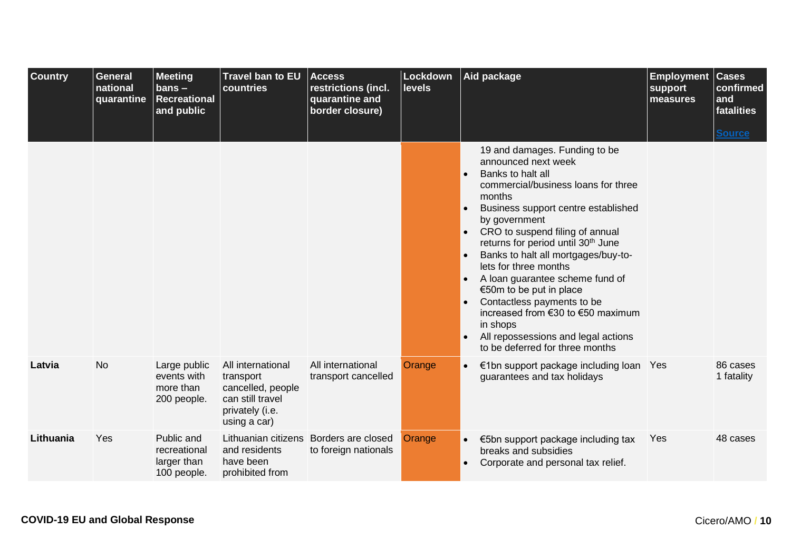<span id="page-9-1"></span><span id="page-9-0"></span>

| <b>Country</b> | <b>General</b><br>national<br>quarantine | <b>Meeting</b><br>$bans -$<br><b>Recreational</b><br>and public | Travel ban to EU<br>countries                                                                              | <b>Access</b><br>restrictions (incl.<br>quarantine and<br>border closure) | Lockdown<br><b>levels</b> |                                                               | Aid package                                                                                                                                                                                                                                                                                                                                                                                                                                                                                                                   | <b>Employment</b><br>support<br>measures | <b>Cases</b><br>confirmed<br>and<br>fatalities |
|----------------|------------------------------------------|-----------------------------------------------------------------|------------------------------------------------------------------------------------------------------------|---------------------------------------------------------------------------|---------------------------|---------------------------------------------------------------|-------------------------------------------------------------------------------------------------------------------------------------------------------------------------------------------------------------------------------------------------------------------------------------------------------------------------------------------------------------------------------------------------------------------------------------------------------------------------------------------------------------------------------|------------------------------------------|------------------------------------------------|
|                |                                          |                                                                 |                                                                                                            |                                                                           |                           |                                                               | 19 and damages. Funding to be                                                                                                                                                                                                                                                                                                                                                                                                                                                                                                 |                                          | <b>Source</b>                                  |
|                |                                          |                                                                 |                                                                                                            |                                                                           |                           | $\bullet$<br>$\bullet$<br>$\bullet$<br>$\bullet$<br>$\bullet$ | announced next week<br>Banks to halt all<br>commercial/business loans for three<br>months<br>Business support centre established<br>by government<br>CRO to suspend filing of annual<br>returns for period until 30 <sup>th</sup> June<br>Banks to halt all mortgages/buy-to-<br>lets for three months<br>A loan guarantee scheme fund of<br>€50m to be put in place<br>Contactless payments to be<br>increased from €30 to €50 maximum<br>in shops<br>All repossessions and legal actions<br>to be deferred for three months |                                          |                                                |
| Latvia         | <b>No</b>                                | Large public<br>events with<br>more than<br>200 people.         | All international<br>transport<br>cancelled, people<br>can still travel<br>privately (i.e.<br>using a car) | All international<br>transport cancelled                                  | Orange                    | $\bullet$                                                     | €1bn support package including loan Yes<br>guarantees and tax holidays                                                                                                                                                                                                                                                                                                                                                                                                                                                        |                                          | 86 cases<br>1 fatality                         |
| Lithuania      | Yes                                      | Public and<br>recreational<br>larger than<br>100 people.        | and residents<br>have been<br>prohibited from                                                              | Lithuanian citizens Borders are closed<br>to foreign nationals            | Orange                    |                                                               | €5bn support package including tax<br>breaks and subsidies<br>Corporate and personal tax relief.                                                                                                                                                                                                                                                                                                                                                                                                                              | Yes                                      | 48 cases                                       |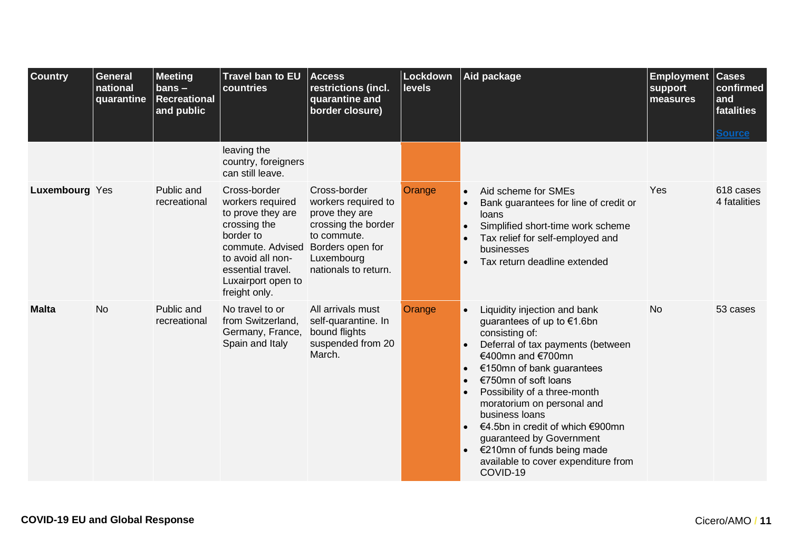<span id="page-10-1"></span><span id="page-10-0"></span>

| <b>Country</b> | <b>General</b><br>national<br>quarantine | <b>Meeting</b><br>$bans -$<br><b>Recreational</b><br>and public | Travel ban to EU<br>countries                                                                                                                                                           | <b>Access</b><br>restrictions (incl.<br>quarantine and<br>border closure)                                                                             | Lockdown<br><b>levels</b> | Aid package<br><b>Employment</b><br>support<br>measures                                                                                                                                                                                                                                                                                                                                                                                                                                                    | <b>Cases</b><br>confirmed<br>and<br>fatalities<br><b>Source</b> |
|----------------|------------------------------------------|-----------------------------------------------------------------|-----------------------------------------------------------------------------------------------------------------------------------------------------------------------------------------|-------------------------------------------------------------------------------------------------------------------------------------------------------|---------------------------|------------------------------------------------------------------------------------------------------------------------------------------------------------------------------------------------------------------------------------------------------------------------------------------------------------------------------------------------------------------------------------------------------------------------------------------------------------------------------------------------------------|-----------------------------------------------------------------|
|                |                                          |                                                                 | leaving the<br>country, foreigners<br>can still leave.                                                                                                                                  |                                                                                                                                                       |                           |                                                                                                                                                                                                                                                                                                                                                                                                                                                                                                            |                                                                 |
| Luxembourg Yes |                                          | Public and<br>recreational                                      | Cross-border<br>workers required<br>to prove they are<br>crossing the<br>border to<br>commute. Advised<br>to avoid all non-<br>essential travel.<br>Luxairport open to<br>freight only. | Cross-border<br>workers required to<br>prove they are<br>crossing the border<br>to commute.<br>Borders open for<br>Luxembourg<br>nationals to return. | Orange                    | Yes<br>Aid scheme for SMEs<br>$\bullet$<br>Bank guarantees for line of credit or<br>$\bullet$<br>loans<br>Simplified short-time work scheme<br>$\bullet$<br>Tax relief for self-employed and<br>businesses<br>Tax return deadline extended                                                                                                                                                                                                                                                                 | 618 cases<br>4 fatalities                                       |
| <b>Malta</b>   | <b>No</b>                                | Public and<br>recreational                                      | No travel to or<br>from Switzerland,<br>Germany, France,<br>Spain and Italy                                                                                                             | All arrivals must<br>self-quarantine. In<br>bound flights<br>suspended from 20<br>March.                                                              | Orange                    | <b>No</b><br>Liquidity injection and bank<br>$\bullet$<br>guarantees of up to €1.6bn<br>consisting of:<br>Deferral of tax payments (between<br>$\bullet$<br>€400mn and €700mn<br>€150mn of bank guarantees<br>$\bullet$<br>€750mn of soft loans<br>$\bullet$<br>Possibility of a three-month<br>moratorium on personal and<br>business loans<br>€4.5bn in credit of which €900mn<br>guaranteed by Government<br>€210mn of funds being made<br>$\bullet$<br>available to cover expenditure from<br>COVID-19 | 53 cases                                                        |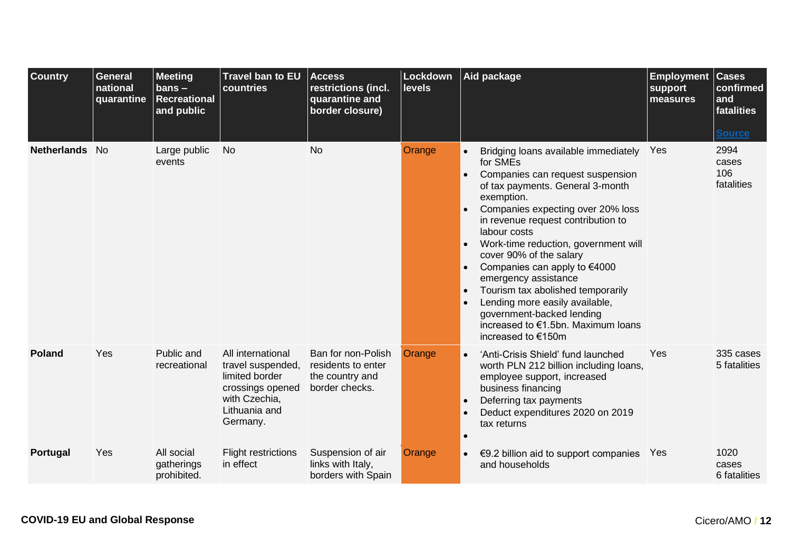<span id="page-11-2"></span><span id="page-11-1"></span><span id="page-11-0"></span>

| <b>Country</b>     | <b>General</b><br>national<br>quarantine | <b>Meeting</b><br>$bans -$<br><b>Recreational</b><br>and public | <b>Travel ban to EU</b><br>countries                                                                                       | <b>Access</b><br>restrictions (incl.<br>quarantine and<br>border closure)     | Lockdown<br><b>levels</b> | Aid package<br><b>Employment</b><br>support<br>measures                                                                                                                                                                                                                                                                                                                                                                                                                                                                                                                                 | <b>Cases</b><br>confirmed<br>and<br>fatalities<br><b>Source</b> |
|--------------------|------------------------------------------|-----------------------------------------------------------------|----------------------------------------------------------------------------------------------------------------------------|-------------------------------------------------------------------------------|---------------------------|-----------------------------------------------------------------------------------------------------------------------------------------------------------------------------------------------------------------------------------------------------------------------------------------------------------------------------------------------------------------------------------------------------------------------------------------------------------------------------------------------------------------------------------------------------------------------------------------|-----------------------------------------------------------------|
| <b>Netherlands</b> | - No                                     | Large public<br>events                                          | <b>No</b>                                                                                                                  | <b>No</b>                                                                     | Orange                    | Yes<br>Bridging loans available immediately<br>for SMEs<br>Companies can request suspension<br>$\bullet$<br>of tax payments. General 3-month<br>exemption.<br>Companies expecting over 20% loss<br>$\bullet$<br>in revenue request contribution to<br>labour costs<br>Work-time reduction, government will<br>cover 90% of the salary<br>Companies can apply to €4000<br>emergency assistance<br>Tourism tax abolished temporarily<br>$\bullet$<br>Lending more easily available,<br>$\bullet$<br>government-backed lending<br>increased to €1.5bn. Maximum loans<br>increased to €150m | 2994<br>cases<br>106<br>fatalities                              |
| <b>Poland</b>      | Yes                                      | Public and<br>recreational                                      | All international<br>travel suspended,<br>limited border<br>crossings opened<br>with Czechia,<br>Lithuania and<br>Germany. | Ban for non-Polish<br>residents to enter<br>the country and<br>border checks. | Orange                    | Yes<br>'Anti-Crisis Shield' fund launched<br>$\bullet$<br>worth PLN 212 billion including loans,<br>employee support, increased<br>business financing<br>Deferring tax payments<br>$\bullet$<br>Deduct expenditures 2020 on 2019<br>tax returns                                                                                                                                                                                                                                                                                                                                         | 335 cases<br>5 fatalities                                       |
| <b>Portugal</b>    | Yes                                      | All social<br>gatherings<br>prohibited.                         | <b>Flight restrictions</b><br>in effect                                                                                    | Suspension of air<br>links with Italy,<br>borders with Spain                  | Orange                    | €9.2 billion aid to support companies $Yes$<br>$\bullet$<br>and households                                                                                                                                                                                                                                                                                                                                                                                                                                                                                                              | 1020<br>cases<br>6 fatalities                                   |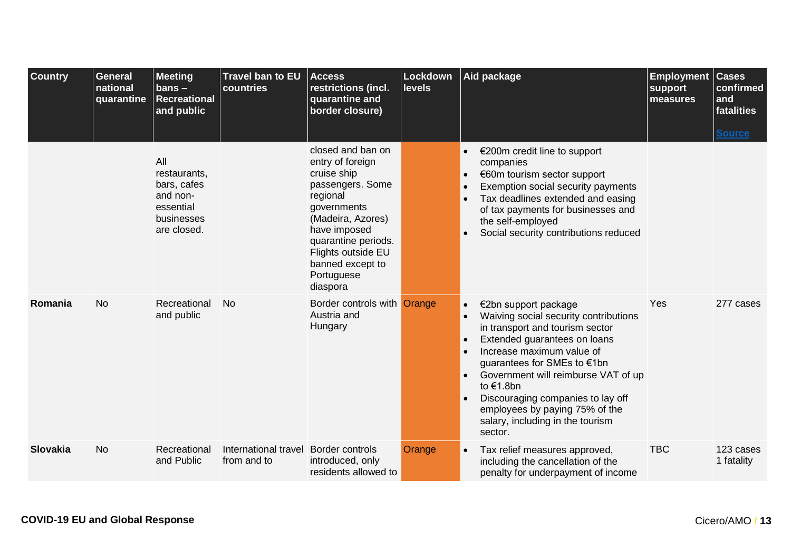<span id="page-12-1"></span><span id="page-12-0"></span>

| <b>Country</b>  | General<br>national<br>quarantine | <b>Meeting</b><br>$bans -$<br><b>Recreational</b><br>and public                          | Travel ban to EU<br>countries       | <b>Access</b><br>restrictions (incl.<br>quarantine and<br>border closure)                                                                                                                                                           | Lockdown<br><b>levels</b> |                                     | Aid package                                                                                                                                                                                                                                                                                                                                                            | <b>Employment</b><br>support<br>measures | <b>Cases</b><br>confirmed<br>and<br>fatalities<br><b>Source</b> |
|-----------------|-----------------------------------|------------------------------------------------------------------------------------------|-------------------------------------|-------------------------------------------------------------------------------------------------------------------------------------------------------------------------------------------------------------------------------------|---------------------------|-------------------------------------|------------------------------------------------------------------------------------------------------------------------------------------------------------------------------------------------------------------------------------------------------------------------------------------------------------------------------------------------------------------------|------------------------------------------|-----------------------------------------------------------------|
|                 |                                   | All<br>restaurants,<br>bars, cafes<br>and non-<br>essential<br>businesses<br>are closed. |                                     | closed and ban on<br>entry of foreign<br>cruise ship<br>passengers. Some<br>regional<br>governments<br>(Madeira, Azores)<br>have imposed<br>quarantine periods.<br>Flights outside EU<br>banned except to<br>Portuguese<br>diaspora |                           | $\bullet$<br>$\bullet$              | €200m credit line to support<br>companies<br>€60m tourism sector support<br>Exemption social security payments<br>Tax deadlines extended and easing<br>of tax payments for businesses and<br>the self-employed<br>Social security contributions reduced                                                                                                                |                                          |                                                                 |
| Romania         | <b>No</b>                         | Recreational<br>and public                                                               | <b>No</b>                           | Border controls with Orange<br>Austria and<br>Hungary                                                                                                                                                                               |                           | $\bullet$<br>$\bullet$<br>$\bullet$ | €2bn support package<br>Waiving social security contributions<br>in transport and tourism sector<br>Extended guarantees on loans<br>Increase maximum value of<br>guarantees for SMEs to €1bn<br>Government will reimburse VAT of up<br>to €1.8bn<br>Discouraging companies to lay off<br>employees by paying 75% of the<br>salary, including in the tourism<br>sector. | Yes                                      | 277 cases                                                       |
| <b>Slovakia</b> | <b>No</b>                         | Recreational<br>and Public                                                               | International travel<br>from and to | <b>Border controls</b><br>introduced, only<br>residents allowed to                                                                                                                                                                  | Orange                    | $\bullet$                           | Tax relief measures approved,<br>including the cancellation of the<br>penalty for underpayment of income                                                                                                                                                                                                                                                               | <b>TBC</b>                               | 123 cases<br>1 fatality                                         |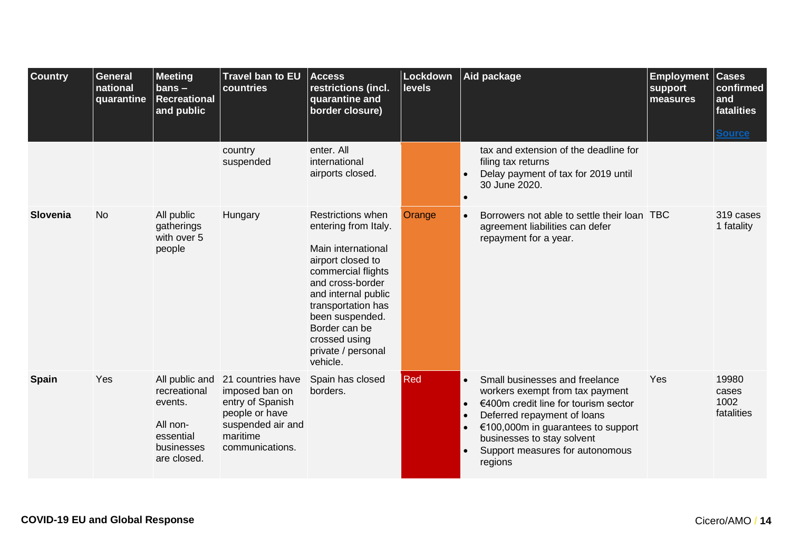<span id="page-13-1"></span><span id="page-13-0"></span>

| <b>Country</b> | <b>General</b><br>national<br>quarantine | <b>Meeting</b><br>$bans -$<br><b>Recreational</b><br>and public                                 | Travel ban to EU<br>countries                                                                                                 | <b>Access</b><br>restrictions (incl.<br>quarantine and<br>border closure)                                                                                                                                                                                                 | Lockdown<br>levels |                                     | Aid package                                                                                                                                                                                                                                                | <b>Employment</b><br>support<br>measures | <b>Cases</b><br>confirmed<br>and<br>fatalities |
|----------------|------------------------------------------|-------------------------------------------------------------------------------------------------|-------------------------------------------------------------------------------------------------------------------------------|---------------------------------------------------------------------------------------------------------------------------------------------------------------------------------------------------------------------------------------------------------------------------|--------------------|-------------------------------------|------------------------------------------------------------------------------------------------------------------------------------------------------------------------------------------------------------------------------------------------------------|------------------------------------------|------------------------------------------------|
|                |                                          |                                                                                                 | country<br>suspended                                                                                                          | enter. All<br>international<br>airports closed.                                                                                                                                                                                                                           |                    |                                     | tax and extension of the deadline for<br>filing tax returns<br>Delay payment of tax for 2019 until<br>30 June 2020.                                                                                                                                        |                                          | <b>Source</b>                                  |
| Slovenia       | <b>No</b>                                | All public<br>gatherings<br>with over 5<br>people                                               | Hungary                                                                                                                       | <b>Restrictions when</b><br>entering from Italy.<br>Main international<br>airport closed to<br>commercial flights<br>and cross-border<br>and internal public<br>transportation has<br>been suspended.<br>Border can be<br>crossed using<br>private / personal<br>vehicle. | Orange             | $\bullet$                           | Borrowers not able to settle their loan TBC<br>agreement liabilities can defer<br>repayment for a year.                                                                                                                                                    |                                          | 319 cases<br>1 fatality                        |
| <b>Spain</b>   | Yes                                      | All public and<br>recreational<br>events.<br>All non-<br>essential<br>businesses<br>are closed. | 21 countries have<br>imposed ban on<br>entry of Spanish<br>people or have<br>suspended air and<br>maritime<br>communications. | Spain has closed<br>borders.                                                                                                                                                                                                                                              | Red                | $\bullet$<br>$\bullet$<br>$\bullet$ | Small businesses and freelance<br>workers exempt from tax payment<br>€400m credit line for tourism sector<br>Deferred repayment of loans<br>€100,000m in guarantees to support<br>businesses to stay solvent<br>Support measures for autonomous<br>regions | Yes                                      | 19980<br>cases<br>1002<br>fatalities           |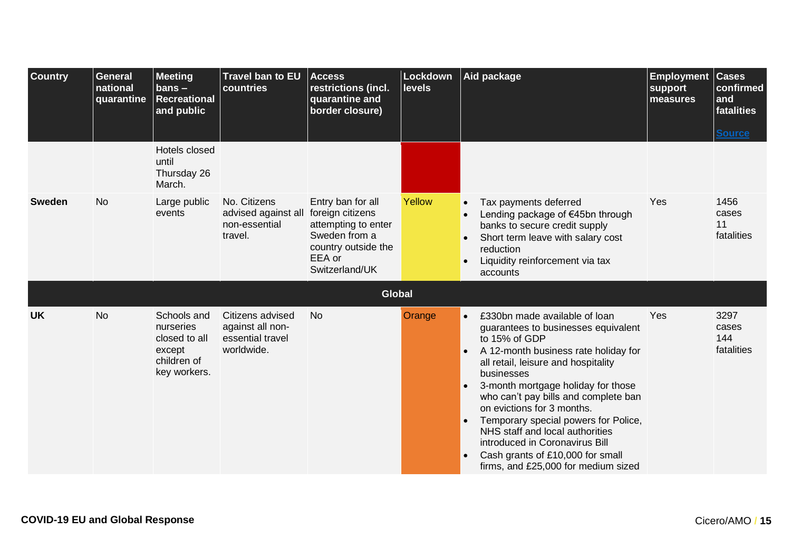<span id="page-14-1"></span><span id="page-14-0"></span>

| <b>Country</b> | <b>General</b><br>national<br>quarantine | <b>Meeting</b><br>$bans -$<br><b>Recreational</b><br>and public                    | <b>Travel ban to EU</b><br>countries                                             | <b>Access</b><br>restrictions (incl.<br>quarantine and<br>border closure)                                    | Lockdown<br><b>levels</b> | Aid package                                                                                                                                                                                                                                                                                                                                                                                                                                                                                                      | <b>Employment</b><br>support<br>measures | <b>Cases</b><br>confirmed<br>and<br>fatalities |
|----------------|------------------------------------------|------------------------------------------------------------------------------------|----------------------------------------------------------------------------------|--------------------------------------------------------------------------------------------------------------|---------------------------|------------------------------------------------------------------------------------------------------------------------------------------------------------------------------------------------------------------------------------------------------------------------------------------------------------------------------------------------------------------------------------------------------------------------------------------------------------------------------------------------------------------|------------------------------------------|------------------------------------------------|
|                |                                          | Hotels closed<br>until<br>Thursday 26<br>March.                                    |                                                                                  |                                                                                                              |                           |                                                                                                                                                                                                                                                                                                                                                                                                                                                                                                                  |                                          | <b>Source</b>                                  |
| <b>Sweden</b>  | <b>No</b>                                | Large public<br>events                                                             | No. Citizens<br>advised against all foreign citizens<br>non-essential<br>travel. | Entry ban for all<br>attempting to enter<br>Sweden from a<br>country outside the<br>EEA or<br>Switzerland/UK | Yellow                    | Tax payments deferred<br>$\bullet$<br>Lending package of €45bn through<br>banks to secure credit supply<br>Short term leave with salary cost<br>$\bullet$<br>reduction<br>Liquidity reinforcement via tax<br>accounts                                                                                                                                                                                                                                                                                            | Yes                                      | 1456<br>cases<br>11<br>fatalities              |
|                |                                          |                                                                                    |                                                                                  | <b>Global</b>                                                                                                |                           |                                                                                                                                                                                                                                                                                                                                                                                                                                                                                                                  |                                          |                                                |
| <b>UK</b>      | <b>No</b>                                | Schools and<br>nurseries<br>closed to all<br>except<br>children of<br>key workers. | Citizens advised<br>against all non-<br>essential travel<br>worldwide.           | <b>No</b>                                                                                                    | Orange                    | £330bn made available of loan<br>guarantees to businesses equivalent<br>to 15% of GDP<br>A 12-month business rate holiday for<br>all retail, leisure and hospitality<br>businesses<br>3-month mortgage holiday for those<br>$\bullet$<br>who can't pay bills and complete ban<br>on evictions for 3 months.<br>Temporary special powers for Police,<br>$\bullet$<br>NHS staff and local authorities<br>introduced in Coronavirus Bill<br>Cash grants of £10,000 for small<br>firms, and £25,000 for medium sized | Yes                                      | 3297<br>cases<br>144<br>fatalities             |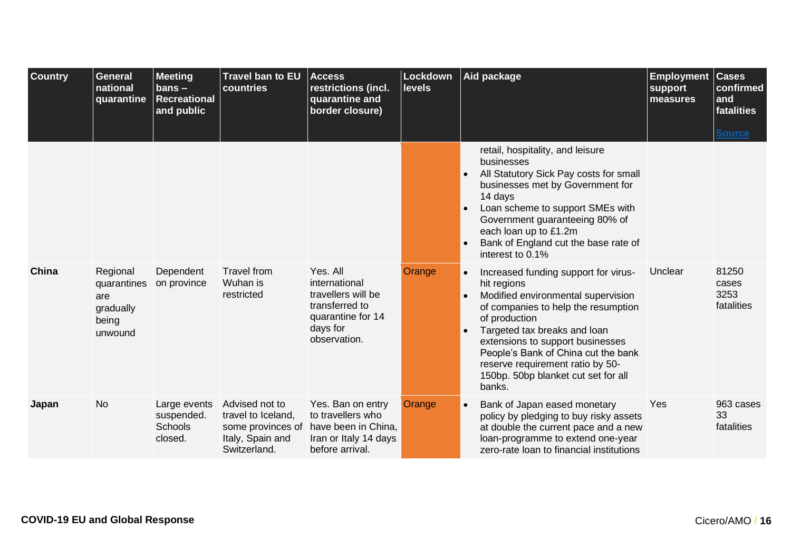<span id="page-15-1"></span><span id="page-15-0"></span>

| <b>Country</b> | <b>General</b><br>national<br>quarantine                        | <b>Meeting</b><br>$bans -$<br><b>Recreational</b><br>and public | <b>Travel ban to EU</b><br>countries                                                          | <b>Access</b><br>restrictions (incl.<br>quarantine and<br>border closure)                                          | Lockdown<br><b>levels</b> |                        | Aid package                                                                                                                                                                                                                                                                                                                                       | <b>Employment</b><br>support<br>measures | <b>Cases</b><br>confirmed<br>and<br>fatalities<br><b>Source</b> |
|----------------|-----------------------------------------------------------------|-----------------------------------------------------------------|-----------------------------------------------------------------------------------------------|--------------------------------------------------------------------------------------------------------------------|---------------------------|------------------------|---------------------------------------------------------------------------------------------------------------------------------------------------------------------------------------------------------------------------------------------------------------------------------------------------------------------------------------------------|------------------------------------------|-----------------------------------------------------------------|
|                |                                                                 |                                                                 |                                                                                               |                                                                                                                    |                           |                        | retail, hospitality, and leisure<br>businesses<br>All Statutory Sick Pay costs for small<br>businesses met by Government for<br>14 days<br>Loan scheme to support SMEs with<br>Government guaranteeing 80% of<br>each loan up to £1.2m<br>Bank of England cut the base rate of<br>interest to 0.1%                                                |                                          |                                                                 |
| China          | Regional<br>quarantines<br>are<br>gradually<br>being<br>unwound | Dependent<br>on province                                        | <b>Travel from</b><br>Wuhan is<br>restricted                                                  | Yes, All<br>international<br>travellers will be<br>transferred to<br>quarantine for 14<br>days for<br>observation. | Orange                    | $\bullet$<br>$\bullet$ | Increased funding support for virus-<br>hit regions<br>Modified environmental supervision<br>of companies to help the resumption<br>of production<br>Targeted tax breaks and loan<br>extensions to support businesses<br>People's Bank of China cut the bank<br>reserve requirement ratio by 50-<br>150bp. 50bp blanket cut set for all<br>banks. | Unclear                                  | 81250<br>cases<br>3253<br>fatalities                            |
| Japan          | <b>No</b>                                                       | Large events<br>suspended.<br>Schools<br>closed.                | Advised not to<br>travel to Iceland,<br>some provinces of<br>Italy, Spain and<br>Switzerland. | Yes. Ban on entry<br>to travellers who<br>have been in China,<br>Iran or Italy 14 days<br>before arrival.          | Orange                    | $\bullet$              | Bank of Japan eased monetary<br>policy by pledging to buy risky assets<br>at double the current pace and a new<br>loan-programme to extend one-year<br>zero-rate loan to financial institutions                                                                                                                                                   | Yes                                      | 963 cases<br>33<br>fatalities                                   |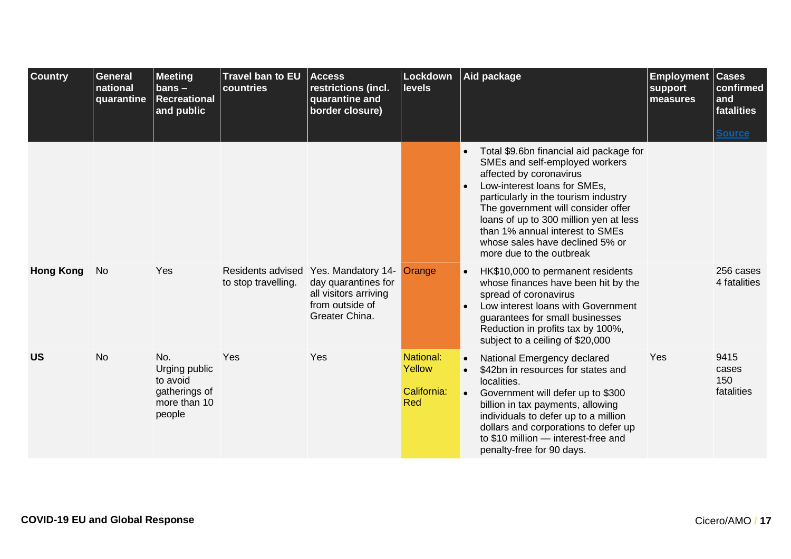<span id="page-16-1"></span><span id="page-16-0"></span>

| <b>Country</b>   | <b>General</b><br>national<br>quarantine | <b>Meeting</b><br>$bans -$<br><b>Recreational</b><br>and public             | <b>Travel ban to EU</b><br>countries     | <b>Access</b><br>restrictions (incl.<br>quarantine and<br>border closure)                               | Lockdown<br><b>levels</b>                        |                        | Aid package                                                                                                                                                                                                                                                                                                                                                    | <b>Employment</b><br>support<br>measures | <b>Cases</b><br>confirmed<br>and<br>fatalities<br><b>Source</b> |
|------------------|------------------------------------------|-----------------------------------------------------------------------------|------------------------------------------|---------------------------------------------------------------------------------------------------------|--------------------------------------------------|------------------------|----------------------------------------------------------------------------------------------------------------------------------------------------------------------------------------------------------------------------------------------------------------------------------------------------------------------------------------------------------------|------------------------------------------|-----------------------------------------------------------------|
|                  |                                          |                                                                             |                                          |                                                                                                         |                                                  | $\bullet$              | Total \$9.6bn financial aid package for<br>SMEs and self-employed workers<br>affected by coronavirus<br>Low-interest loans for SMEs,<br>particularly in the tourism industry<br>The government will consider offer<br>loans of up to 300 million yen at less<br>than 1% annual interest to SMEs<br>whose sales have declined 5% or<br>more due to the outbreak |                                          |                                                                 |
| <b>Hong Kong</b> | No                                       | Yes                                                                         | Residents advised<br>to stop travelling. | Yes. Mandatory 14-<br>day quarantines for<br>all visitors arriving<br>from outside of<br>Greater China. | Orange                                           | $\bullet$              | HK\$10,000 to permanent residents<br>whose finances have been hit by the<br>spread of coronavirus<br>Low interest loans with Government<br>guarantees for small businesses<br>Reduction in profits tax by 100%,<br>subject to a ceiling of \$20,000                                                                                                            |                                          | 256 cases<br>4 fatalities                                       |
| <b>US</b>        | <b>No</b>                                | No.<br>Urging public<br>to avoid<br>gatherings of<br>more than 10<br>people | Yes                                      | Yes                                                                                                     | National:<br>Yellow<br>California:<br><b>Red</b> | $\bullet$<br>$\bullet$ | National Emergency declared<br>\$42bn in resources for states and<br>localities.<br>Government will defer up to \$300<br>billion in tax payments, allowing<br>individuals to defer up to a million<br>dollars and corporations to defer up<br>to \$10 million - interest-free and<br>penalty-free for 90 days.                                                 | Yes                                      | 9415<br>cases<br>150<br>fatalities                              |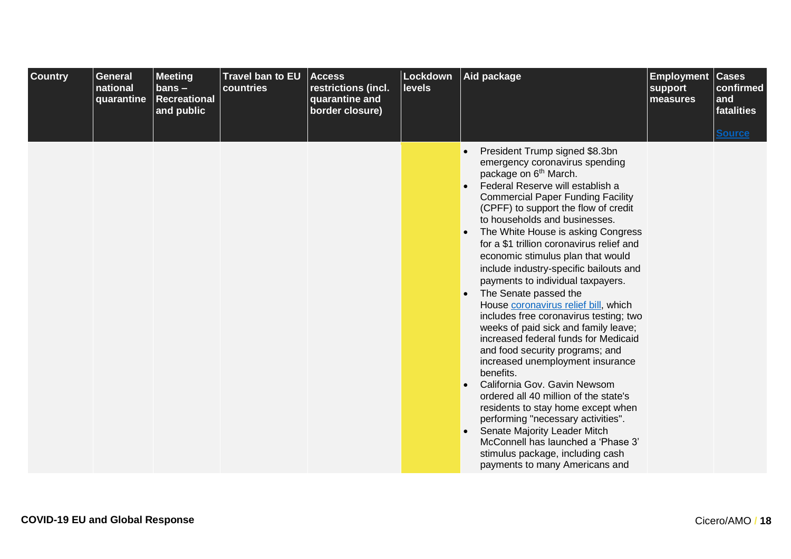| <b>Country</b> | <b>General</b><br>national<br>quarantine | <b>Meeting</b><br>$bans -$<br><b>Recreational</b><br>and public | Travel ban to EU<br>countries | <b>Access</b><br>restrictions (incl.<br>quarantine and<br>border closure) | Lockdown<br><b>levels</b> | Aid package                                                                                                                                                                                                                                                                                                                                                                                                                                                                                                                                                                                                                                                                                                                                                                                                                                                                                                                                                                                                                                           | <b>Employment</b><br>support<br>measures | <b>Cases</b><br>confirmed<br>and<br>fatalities |
|----------------|------------------------------------------|-----------------------------------------------------------------|-------------------------------|---------------------------------------------------------------------------|---------------------------|-------------------------------------------------------------------------------------------------------------------------------------------------------------------------------------------------------------------------------------------------------------------------------------------------------------------------------------------------------------------------------------------------------------------------------------------------------------------------------------------------------------------------------------------------------------------------------------------------------------------------------------------------------------------------------------------------------------------------------------------------------------------------------------------------------------------------------------------------------------------------------------------------------------------------------------------------------------------------------------------------------------------------------------------------------|------------------------------------------|------------------------------------------------|
|                |                                          |                                                                 |                               |                                                                           |                           | President Trump signed \$8.3bn<br>emergency coronavirus spending<br>package on 6 <sup>th</sup> March.<br>Federal Reserve will establish a<br><b>Commercial Paper Funding Facility</b><br>(CPFF) to support the flow of credit<br>to households and businesses.<br>The White House is asking Congress<br>for a \$1 trillion coronavirus relief and<br>economic stimulus plan that would<br>include industry-specific bailouts and<br>payments to individual taxpayers.<br>The Senate passed the<br>House coronavirus relief bill, which<br>includes free coronavirus testing; two<br>weeks of paid sick and family leave;<br>increased federal funds for Medicaid<br>and food security programs; and<br>increased unemployment insurance<br>benefits.<br>California Gov. Gavin Newsom<br>ordered all 40 million of the state's<br>residents to stay home except when<br>performing "necessary activities".<br>Senate Majority Leader Mitch<br>McConnell has launched a 'Phase 3'<br>stimulus package, including cash<br>payments to many Americans and |                                          | <b>Source</b>                                  |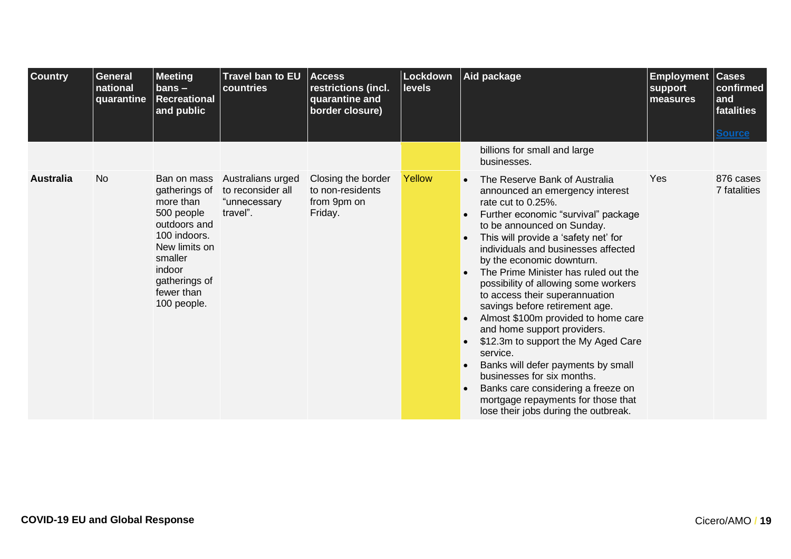<span id="page-18-0"></span>

| <b>Country</b>   | <b>General</b><br>national<br>quarantine | <b>Meeting</b><br>$bans -$<br><b>Recreational</b><br>and public                                                                                                             | Travel ban to EU<br>countries                                      | <b>Access</b><br>restrictions (incl.<br>quarantine and<br>border closure) | <b>Lockdown</b><br><b>levels</b> | Aid package                                                                                                                                                                                                                                                                                                                                                                                                                                                                                                                                                                                                                                                                                                                                  | <b>Employment Cases</b><br>support<br>measures | confirmed<br>and<br>fatalities<br><b>Source</b> |
|------------------|------------------------------------------|-----------------------------------------------------------------------------------------------------------------------------------------------------------------------------|--------------------------------------------------------------------|---------------------------------------------------------------------------|----------------------------------|----------------------------------------------------------------------------------------------------------------------------------------------------------------------------------------------------------------------------------------------------------------------------------------------------------------------------------------------------------------------------------------------------------------------------------------------------------------------------------------------------------------------------------------------------------------------------------------------------------------------------------------------------------------------------------------------------------------------------------------------|------------------------------------------------|-------------------------------------------------|
|                  |                                          |                                                                                                                                                                             |                                                                    |                                                                           |                                  | billions for small and large<br>businesses.                                                                                                                                                                                                                                                                                                                                                                                                                                                                                                                                                                                                                                                                                                  |                                                |                                                 |
| <b>Australia</b> | <b>No</b>                                | Ban on mass<br>gatherings of<br>more than<br>500 people<br>outdoors and<br>100 indoors.<br>New limits on<br>smaller<br>indoor<br>gatherings of<br>fewer than<br>100 people. | Australians urged<br>to reconsider all<br>"unnecessary<br>travel". | Closing the border<br>to non-residents<br>from 9pm on<br>Friday.          | Yellow                           | The Reserve Bank of Australia<br>announced an emergency interest<br>rate cut to 0.25%.<br>Further economic "survival" package<br>to be announced on Sunday.<br>This will provide a 'safety net' for<br>individuals and businesses affected<br>by the economic downturn.<br>The Prime Minister has ruled out the<br>possibility of allowing some workers<br>to access their superannuation<br>savings before retirement age.<br>Almost \$100m provided to home care<br>and home support providers.<br>\$12.3m to support the My Aged Care<br>service.<br>Banks will defer payments by small<br>businesses for six months.<br>Banks care considering a freeze on<br>mortgage repayments for those that<br>lose their jobs during the outbreak. | Yes                                            | 876 cases<br>7 fatalities                       |